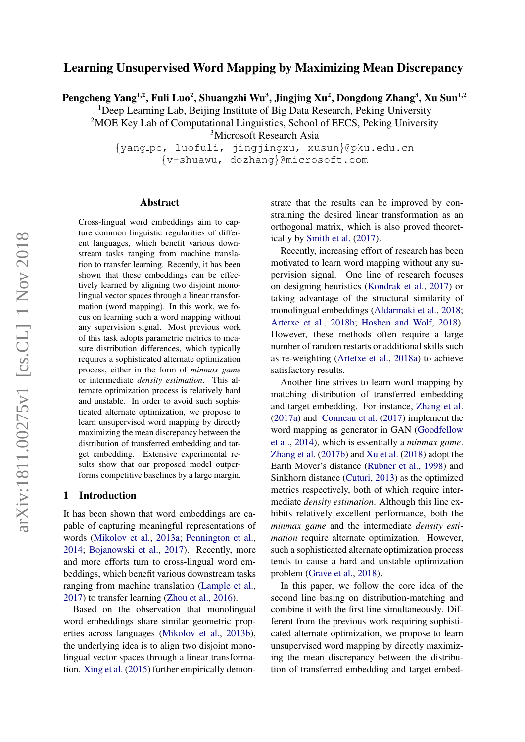# Learning Unsupervised Word Mapping by Maximizing Mean Discrepancy

Pengcheng Yang<sup>1,2</sup>, Fuli Luo<sup>2</sup>, Shuangzhi Wu<sup>3</sup>, Jingjing Xu<sup>2</sup>, Dongdong Zhang<sup>3</sup>, Xu Sun<sup>1,2</sup>

<sup>1</sup>Deep Learning Lab, Beijing Institute of Big Data Research, Peking University

<sup>2</sup>MOE Key Lab of Computational Linguistics, School of EECS, Peking University

<sup>3</sup>Microsoft Research Asia

{yang pc, luofuli, jingjingxu, xusun}@pku.edu.cn {v-shuawu, dozhang}@microsoft.com

#### Abstract

Cross-lingual word embeddings aim to capture common linguistic regularities of different languages, which benefit various downstream tasks ranging from machine translation to transfer learning. Recently, it has been shown that these embeddings can be effectively learned by aligning two disjoint monolingual vector spaces through a linear transformation (word mapping). In this work, we focus on learning such a word mapping without any supervision signal. Most previous work of this task adopts parametric metrics to measure distribution differences, which typically requires a sophisticated alternate optimization process, either in the form of *minmax game* or intermediate *density estimation*. This alternate optimization process is relatively hard and unstable. In order to avoid such sophisticated alternate optimization, we propose to learn unsupervised word mapping by directly maximizing the mean discrepancy between the distribution of transferred embedding and target embedding. Extensive experimental results show that our proposed model outperforms competitive baselines by a large margin.

## 1 Introduction

It has been shown that word embeddings are capable of capturing meaningful representations of words [\(Mikolov et al.,](#page-4-0) [2013a;](#page-4-0) [Pennington et al.,](#page-4-1) [2014;](#page-4-1) [Bojanowski et al.,](#page-4-2) [2017\)](#page-4-2). Recently, more and more efforts turn to cross-lingual word embeddings, which benefit various downstream tasks ranging from machine translation [\(Lample et al.,](#page-4-3) [2017\)](#page-4-3) to transfer learning [\(Zhou et al.,](#page-5-0) [2016\)](#page-5-0).

Based on the observation that monolingual word embeddings share similar geometric properties across languages [\(Mikolov et al.,](#page-4-4) [2013b\)](#page-4-4), the underlying idea is to align two disjoint monolingual vector spaces through a linear transformation. [Xing et al.](#page-5-1) [\(2015\)](#page-5-1) further empirically demonstrate that the results can be improved by constraining the desired linear transformation as an orthogonal matrix, which is also proved theoretically by [Smith et al.](#page-4-5) [\(2017\)](#page-4-5).

Recently, increasing effort of research has been motivated to learn word mapping without any supervision signal. One line of research focuses on designing heuristics [\(Kondrak et al.,](#page-4-6) [2017\)](#page-4-6) or taking advantage of the structural similarity of monolingual embeddings [\(Aldarmaki et al.,](#page-4-7) [2018;](#page-4-7) [Artetxe et al.,](#page-4-8) [2018b;](#page-4-8) [Hoshen and Wolf,](#page-4-9) [2018\)](#page-4-9). However, these methods often require a large number of random restarts or additional skills such as re-weighting [\(Artetxe et al.,](#page-4-10) [2018a\)](#page-4-10) to achieve satisfactory results.

Another line strives to learn word mapping by matching distribution of transferred embedding and target embedding. For instance, [Zhang et al.](#page-5-2) [\(2017a\)](#page-5-2) and [Conneau et al.](#page-4-11) [\(2017\)](#page-4-11) implement the word mapping as generator in GAN [\(Goodfellow](#page-4-12) [et al.,](#page-4-12) [2014\)](#page-4-12), which is essentially a *minmax game*. [Zhang et al.](#page-5-3) [\(2017b\)](#page-5-3) and [Xu et al.](#page-5-4) [\(2018\)](#page-5-4) adopt the Earth Mover's distance [\(Rubner et al.,](#page-4-13) [1998\)](#page-4-13) and Sinkhorn distance [\(Cuturi,](#page-4-14) [2013\)](#page-4-14) as the optimized metrics respectively, both of which require intermediate *density estimation*. Although this line exhibits relatively excellent performance, both the *minmax game* and the intermediate *density estimation* require alternate optimization. However, such a sophisticated alternate optimization process tends to cause a hard and unstable optimization problem [\(Grave et al.,](#page-4-15) [2018\)](#page-4-15).

In this paper, we follow the core idea of the second line basing on distribution-matching and combine it with the first line simultaneously. Different from the previous work requiring sophisticated alternate optimization, we propose to learn unsupervised word mapping by directly maximizing the mean discrepancy between the distribution of transferred embedding and target embed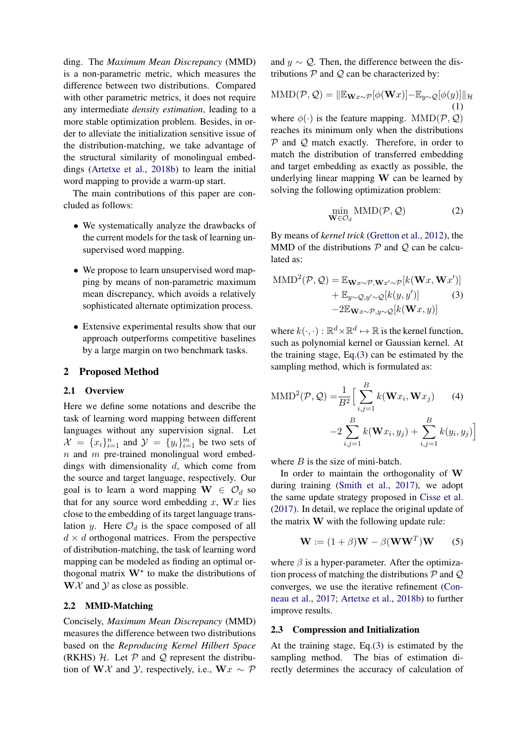ding. The *Maximum Mean Discrepancy* (MMD) is a non-parametric metric, which measures the difference between two distributions. Compared with other parametric metrics, it does not require any intermediate *density estimation*, leading to a more stable optimization problem. Besides, in order to alleviate the initialization sensitive issue of the distribution-matching, we take advantage of the structural similarity of monolingual embeddings [\(Artetxe et al.,](#page-4-8) [2018b\)](#page-4-8) to learn the initial word mapping to provide a warm-up start.

The main contributions of this paper are concluded as follows:

- We systematically analyze the drawbacks of the current models for the task of learning unsupervised word mapping.
- We propose to learn unsupervised word mapping by means of non-parametric maximum mean discrepancy, which avoids a relatively sophisticated alternate optimization process.
- Extensive experimental results show that our approach outperforms competitive baselines by a large margin on two benchmark tasks.

#### 2 Proposed Method

## 2.1 Overview

Here we define some notations and describe the task of learning word mapping between different languages without any supervision signal. Let  $\mathcal{X} = \{x_i\}_{i=1}^n$  and  $\mathcal{Y} = \{y_i\}_{i=1}^m$  be two sets of  $n$  and  $m$  pre-trained monolingual word embeddings with dimensionality  $d$ , which come from the source and target language, respectively. Our goal is to learn a word mapping  $W \in \mathcal{O}_d$  so that for any source word embedding  $x$ ,  $\mathbf{W}$ *x* lies close to the embedding of its target language translation y. Here  $\mathcal{O}_d$  is the space composed of all  $d \times d$  orthogonal matrices. From the perspective of distribution-matching, the task of learning word mapping can be modeled as finding an optimal orthogonal matrix  $W^*$  to make the distributions of  $W\mathcal{X}$  and  $\mathcal{Y}$  as close as possible.

## 2.2 MMD-Matching

Concisely, *Maximum Mean Discrepancy* (MMD) measures the difference between two distributions based on the *Reproducing Kernel Hilbert Space* (RKHS)  $H$ . Let  $P$  and  $Q$  represent the distribution of WX and *Y*, respectively, i.e., W $x \sim \mathcal{P}$ 

and  $y \sim Q$ . Then, the difference between the distributions  $P$  and  $Q$  can be characterized by:

$$
MMD(\mathcal{P}, \mathcal{Q}) = ||\mathbb{E}_{\mathbf{W}x \sim \mathcal{P}}[\phi(\mathbf{W}x)] - \mathbb{E}_{y \sim \mathcal{Q}}[\phi(y)]||_{\mathcal{H}}
$$
  
(1)  
where  $\phi(\cdot)$  is the feature mapping.  $MMD(\mathcal{P}, \mathcal{Q})$ 

reaches its minimum only when the distributions  $P$  and  $Q$  match exactly. Therefore, in order to match the distribution of transferred embedding and target embedding as exactly as possible, the underlying linear mapping W can be learned by solving the following optimization problem:

<span id="page-1-0"></span>
$$
\min_{\mathbf{W}\in\mathcal{O}_d} \text{MMD}(\mathcal{P}, \mathcal{Q})\tag{2}
$$

By means of *kernel trick* [\(Gretton et al.,](#page-4-16) [2012\)](#page-4-16), the MMD of the distributions  $P$  and  $Q$  can be calculated as:

$$
\text{MMD}^{2}(\mathcal{P}, \mathcal{Q}) = \mathbb{E}_{\mathbf{W}x \sim \mathcal{P}, \mathbf{W}x' \sim \mathcal{P}}[k(\mathbf{W}x, \mathbf{W}x')] \n+ \mathbb{E}_{y \sim \mathcal{Q}, y' \sim \mathcal{Q}}[k(y, y')]
$$
\n(3)  
\n-2\mathbb{E}\_{\mathbf{W}x \sim \mathcal{P}, y \sim \mathcal{Q}}[k(\mathbf{W}x, y)]

where  $k(\cdot, \cdot) : \mathbb{R}^d \times \mathbb{R}^d \mapsto \mathbb{R}$  is the kernel function, such as polynomial kernel or Gaussian kernel. At the training stage, Eq.[\(3\)](#page-1-0) can be estimated by the sampling method, which is formulated as:

$$
\text{MMD}^{2}(\mathcal{P}, \mathcal{Q}) = \frac{1}{B^{2}} \Big[ \sum_{i,j=1}^{B} k(\mathbf{W}x_{i}, \mathbf{W}x_{j}) \qquad (4)
$$

$$
-2 \sum_{i,j=1}^{B} k(\mathbf{W}x_{i}, y_{j}) + \sum_{i,j=1}^{B} k(y_{i}, y_{j}) \Big]
$$

where  $B$  is the size of mini-batch.

In order to maintain the orthogonality of W during training [\(Smith et al.,](#page-4-5) [2017\)](#page-4-5), we adopt the same update strategy proposed in [Cisse et al.](#page-4-17) [\(2017\)](#page-4-17). In detail, we replace the original update of the matrix W with the following update rule:

<span id="page-1-1"></span>
$$
\mathbf{W} := (1 + \beta)\mathbf{W} - \beta(\mathbf{W}\mathbf{W}^T)\mathbf{W} \qquad (5)
$$

where  $\beta$  is a hyper-parameter. After the optimization process of matching the distributions  $P$  and  $Q$ converges, we use the iterative refinement [\(Con](#page-4-11)[neau et al.,](#page-4-11) [2017;](#page-4-11) [Artetxe et al.,](#page-4-8) [2018b\)](#page-4-8) to further improve results.

#### 2.3 Compression and Initialization

At the training stage, Eq.[\(3\)](#page-1-0) is estimated by the sampling method. The bias of estimation directly determines the accuracy of calculation of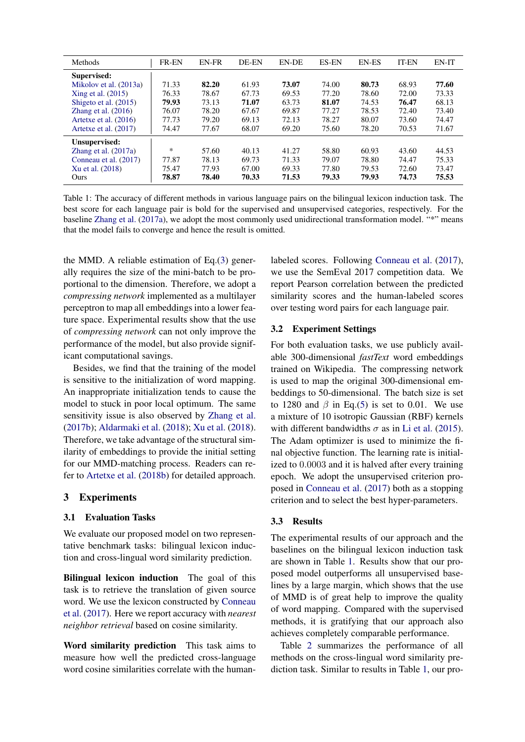<span id="page-2-0"></span>

| Methods                | <b>FR-EN</b> | <b>EN-FR</b> | DE-EN | EN-DE | <b>ES-EN</b> | <b>EN-ES</b> | <b>IT-EN</b> | EN-IT |
|------------------------|--------------|--------------|-------|-------|--------------|--------------|--------------|-------|
| Supervised:            |              |              |       |       |              |              |              |       |
| Mikolov et al. (2013a) | 71.33        | 82.20        | 61.93 | 73.07 | 74.00        | 80.73        | 68.93        | 77.60 |
| Xing et al. (2015)     | 76.33        | 78.67        | 67.73 | 69.53 | 77.20        | 78.60        | 72.00        | 73.33 |
| Shigeto et al. (2015)  | 79.93        | 73.13        | 71.07 | 63.73 | 81.07        | 74.53        | 76.47        | 68.13 |
| Zhang et al. $(2016)$  | 76.07        | 78.20        | 67.67 | 69.87 | 77.27        | 78.53        | 72.40        | 73.40 |
| Artetxe et al. (2016)  | 77.73        | 79.20        | 69.13 | 72.13 | 78.27        | 80.07        | 73.60        | 74.47 |
| Artetxe et al. (2017)  | 74.47        | 77.67        | 68.07 | 69.20 | 75.60        | 78.20        | 70.53        | 71.67 |
| Unsupervised:          |              |              |       |       |              |              |              |       |
| Zhang et al. $(2017a)$ | $\ast$       | 57.60        | 40.13 | 41.27 | 58.80        | 60.93        | 43.60        | 44.53 |
| Conneau et al. (2017)  | 77.87        | 78.13        | 69.73 | 71.33 | 79.07        | 78.80        | 74.47        | 75.33 |
| Xu et al. (2018)       | 75.47        | 77.93        | 67.00 | 69.33 | 77.80        | 79.53        | 72.60        | 73.47 |
| Ours                   | 78.87        | 78.40        | 70.33 | 71.53 | 79.33        | 79.93        | 74.73        | 75.53 |

Table 1: The accuracy of different methods in various language pairs on the bilingual lexicon induction task. The best score for each language pair is bold for the supervised and unsupervised categories, respectively. For the baseline [Zhang et al.](#page-5-2) [\(2017a\)](#page-5-2), we adopt the most commonly used unidirectional transformation model. "\*" means that the model fails to converge and hence the result is omitted.

the MMD. A reliable estimation of Eq.[\(3\)](#page-1-0) generally requires the size of the mini-batch to be proportional to the dimension. Therefore, we adopt a *compressing network* implemented as a multilayer perceptron to map all embeddings into a lower feature space. Experimental results show that the use of *compressing network* can not only improve the performance of the model, but also provide significant computational savings.

Besides, we find that the training of the model is sensitive to the initialization of word mapping. An inappropriate initialization tends to cause the model to stuck in poor local optimum. The same sensitivity issue is also observed by [Zhang et al.](#page-5-3) [\(2017b\)](#page-5-3); [Aldarmaki et al.](#page-4-7) [\(2018\)](#page-4-7); [Xu et al.](#page-5-4) [\(2018\)](#page-5-4). Therefore, we take advantage of the structural similarity of embeddings to provide the initial setting for our MMD-matching process. Readers can refer to [Artetxe et al.](#page-4-8) [\(2018b\)](#page-4-8) for detailed approach.

## 3 Experiments

## 3.1 Evaluation Tasks

We evaluate our proposed model on two representative benchmark tasks: bilingual lexicon induction and cross-lingual word similarity prediction.

Bilingual lexicon induction The goal of this task is to retrieve the translation of given source word. We use the lexicon constructed by [Conneau](#page-4-11) [et al.](#page-4-11) [\(2017\)](#page-4-11). Here we report accuracy with *nearest neighbor retrieval* based on cosine similarity.

Word similarity prediction This task aims to measure how well the predicted cross-language word cosine similarities correlate with the human-

labeled scores. Following [Conneau et al.](#page-4-11) [\(2017\)](#page-4-11), we use the SemEval 2017 competition data. We report Pearson correlation between the predicted similarity scores and the human-labeled scores over testing word pairs for each language pair.

#### 3.2 Experiment Settings

For both evaluation tasks, we use publicly available 300-dimensional *fastText* word embeddings trained on Wikipedia. The compressing network is used to map the original 300-dimensional embeddings to 50-dimensional. The batch size is set to 1280 and  $\beta$  in Eq.[\(5\)](#page-1-1) is set to 0.01. We use a mixture of 10 isotropic Gaussian (RBF) kernels with different bandwidths  $\sigma$  as in [Li et al.](#page-4-21) [\(2015\)](#page-4-21). The Adam optimizer is used to minimize the final objective function. The learning rate is initialized to 0.0003 and it is halved after every training epoch. We adopt the unsupervised criterion proposed in [Conneau et al.](#page-4-11) [\(2017\)](#page-4-11) both as a stopping criterion and to select the best hyper-parameters.

#### 3.3 Results

The experimental results of our approach and the baselines on the bilingual lexicon induction task are shown in Table [1.](#page-2-0) Results show that our proposed model outperforms all unsupervised baselines by a large margin, which shows that the use of MMD is of great help to improve the quality of word mapping. Compared with the supervised methods, it is gratifying that our approach also achieves completely comparable performance.

Table [2](#page-3-0) summarizes the performance of all methods on the cross-lingual word similarity prediction task. Similar to results in Table [1,](#page-2-0) our pro-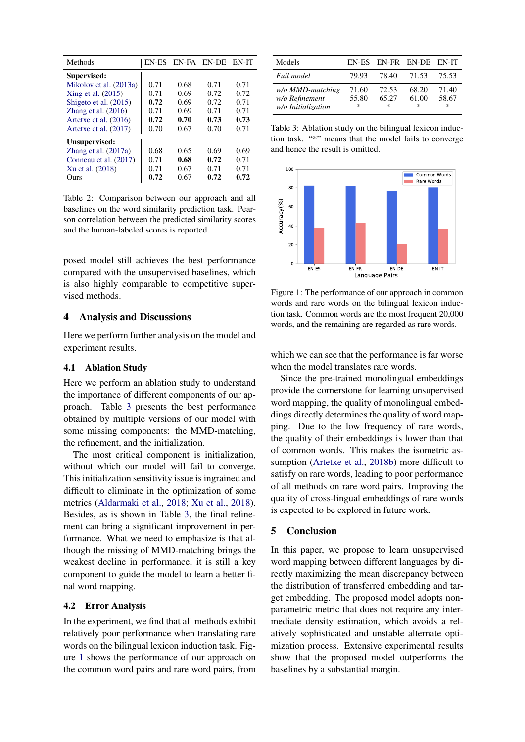<span id="page-3-0"></span>

| Methods                |      | EN-ES EN-FA EN-DE |      | EN-IT |
|------------------------|------|-------------------|------|-------|
| Supervised:            |      |                   |      |       |
| Mikolov et al. (2013a) | 0.71 | 0.68              | 0.71 | 0.71  |
| Xing et al. (2015)     | 0.71 | 0.69              | 0.72 | 0.72  |
| Shigeto et al. (2015)  | 0.72 | 0.69              | 0.72 | 0.71  |
| Zhang et al. $(2016)$  | 0.71 | 0.69              | 0.71 | 0.71  |
| Artetxe et al. (2016)  | 0.72 | 0.70              | 0.73 | 0.73  |
| Artetxe et al. (2017)  | 0.70 | 0.67              | 0.70 | 0.71  |
| Unsupervised:          |      |                   |      |       |
| Zhang et al. $(2017a)$ | 0.68 | 0.65              | 0.69 | 0.69  |
| Conneau et al. (2017)  | 0.71 | 0.68              | 0.72 | 0.71  |
| Xu et al. (2018)       | 0.71 | 0.67              | 0.71 | 0.71  |
| Ours                   | 0.72 | 0.67              | 0.72 | 0.72  |

Table 2: Comparison between our approach and all baselines on the word similarity prediction task. Pearson correlation between the predicted similarity scores and the human-labeled scores is reported.

posed model still achieves the best performance compared with the unsupervised baselines, which is also highly comparable to competitive supervised methods.

## 4 Analysis and Discussions

Here we perform further analysis on the model and experiment results.

## 4.1 Ablation Study

Here we perform an ablation study to understand the importance of different components of our approach. Table [3](#page-3-1) presents the best performance obtained by multiple versions of our model with some missing components: the MMD-matching, the refinement, and the initialization.

The most critical component is initialization, without which our model will fail to converge. This initialization sensitivity issue is ingrained and difficult to eliminate in the optimization of some metrics [\(Aldarmaki et al.,](#page-4-7) [2018;](#page-4-7) [Xu et al.,](#page-5-4) [2018\)](#page-5-4). Besides, as is shown in Table [3,](#page-3-1) the final refinement can bring a significant improvement in performance. What we need to emphasize is that although the missing of MMD-matching brings the weakest decline in performance, it is still a key component to guide the model to learn a better final word mapping.

#### 4.2 Error Analysis

In the experiment, we find that all methods exhibit relatively poor performance when translating rare words on the bilingual lexicon induction task. Figure [1](#page-3-2) shows the performance of our approach on the common word pairs and rare word pairs, from

<span id="page-3-1"></span>

| Models                                                   |                          |                     | <b>EN-ES EN-FR EN-DE EN-IT</b> |                          |
|----------------------------------------------------------|--------------------------|---------------------|--------------------------------|--------------------------|
| Full model                                               | 79.93                    | 78.40 71.53         |                                | 75.53                    |
| w/o MMD-matching<br>w/o Refinement<br>w/o Initialization | 71.60<br>55.80<br>$\ast$ | 72.53<br>65.27<br>* | 68.20<br>61.00<br>$\ast$       | 71.40<br>58.67<br>$\ast$ |

Table 3: Ablation study on the bilingual lexicon induction task. "\*" means that the model fails to converge and hence the result is omitted.

<span id="page-3-2"></span>

Figure 1: The performance of our approach in common words and rare words on the bilingual lexicon induction task. Common words are the most frequent 20,000 words, and the remaining are regarded as rare words.

which we can see that the performance is far worse when the model translates rare words.

Since the pre-trained monolingual embeddings provide the cornerstone for learning unsupervised word mapping, the quality of monolingual embeddings directly determines the quality of word mapping. Due to the low frequency of rare words, the quality of their embeddings is lower than that of common words. This makes the isometric assumption [\(Artetxe et al.,](#page-4-8) [2018b\)](#page-4-8) more difficult to satisfy on rare words, leading to poor performance of all methods on rare word pairs. Improving the quality of cross-lingual embeddings of rare words is expected to be explored in future work.

## 5 Conclusion

In this paper, we propose to learn unsupervised word mapping between different languages by directly maximizing the mean discrepancy between the distribution of transferred embedding and target embedding. The proposed model adopts nonparametric metric that does not require any intermediate density estimation, which avoids a relatively sophisticated and unstable alternate optimization process. Extensive experimental results show that the proposed model outperforms the baselines by a substantial margin.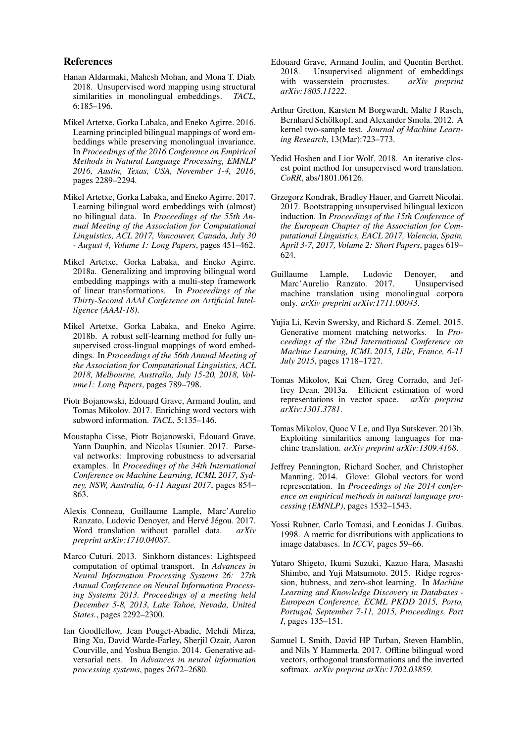#### References

- <span id="page-4-7"></span>Hanan Aldarmaki, Mahesh Mohan, and Mona T. Diab. 2018. Unsupervised word mapping using structural similarities in monolingual embeddings. *TACL*, 6:185–196.
- <span id="page-4-19"></span>Mikel Artetxe, Gorka Labaka, and Eneko Agirre. 2016. Learning principled bilingual mappings of word embeddings while preserving monolingual invariance. In *Proceedings of the 2016 Conference on Empirical Methods in Natural Language Processing, EMNLP 2016, Austin, Texas, USA, November 1-4, 2016*, pages 2289–2294.
- <span id="page-4-20"></span>Mikel Artetxe, Gorka Labaka, and Eneko Agirre. 2017. Learning bilingual word embeddings with (almost) no bilingual data. In *Proceedings of the 55th Annual Meeting of the Association for Computational Linguistics, ACL 2017, Vancouver, Canada, July 30 - August 4, Volume 1: Long Papers*, pages 451–462.
- <span id="page-4-10"></span>Mikel Artetxe, Gorka Labaka, and Eneko Agirre. 2018a. Generalizing and improving bilingual word embedding mappings with a multi-step framework of linear transformations. In *Proceedings of the Thirty-Second AAAI Conference on Artificial Intelligence (AAAI-18)*.
- <span id="page-4-8"></span>Mikel Artetxe, Gorka Labaka, and Eneko Agirre. 2018b. A robust self-learning method for fully unsupervised cross-lingual mappings of word embeddings. In *Proceedings of the 56th Annual Meeting of the Association for Computational Linguistics, ACL 2018, Melbourne, Australia, July 15-20, 2018, Volume1: Long Papers*, pages 789–798.
- <span id="page-4-2"></span>Piotr Bojanowski, Edouard Grave, Armand Joulin, and Tomas Mikolov. 2017. Enriching word vectors with subword information. *TACL*, 5:135–146.
- <span id="page-4-17"></span>Moustapha Cisse, Piotr Bojanowski, Edouard Grave, Yann Dauphin, and Nicolas Usunier. 2017. Parseval networks: Improving robustness to adversarial examples. In *Proceedings of the 34th International Conference on Machine Learning, ICML 2017, Sydney, NSW, Australia, 6-11 August 2017*, pages 854– 863.
- <span id="page-4-11"></span>Alexis Conneau, Guillaume Lample, Marc'Aurelio Ranzato, Ludovic Denoyer, and Hervé Jégou. 2017. Word translation without parallel data. *arXiv preprint arXiv:1710.04087*.
- <span id="page-4-14"></span>Marco Cuturi. 2013. Sinkhorn distances: Lightspeed computation of optimal transport. In *Advances in Neural Information Processing Systems 26: 27th Annual Conference on Neural Information Processing Systems 2013. Proceedings of a meeting held December 5-8, 2013, Lake Tahoe, Nevada, United States.*, pages 2292–2300.
- <span id="page-4-12"></span>Ian Goodfellow, Jean Pouget-Abadie, Mehdi Mirza, Bing Xu, David Warde-Farley, Sherjil Ozair, Aaron Courville, and Yoshua Bengio. 2014. Generative adversarial nets. In *Advances in neural information processing systems*, pages 2672–2680.
- <span id="page-4-15"></span>Edouard Grave, Armand Joulin, and Quentin Berthet. 2018. Unsupervised alignment of embeddings with wasserstein procrustes. *arXiv preprint arXiv:1805.11222*.
- <span id="page-4-16"></span>Arthur Gretton, Karsten M Borgwardt, Malte J Rasch, Bernhard Schölkopf, and Alexander Smola. 2012. A kernel two-sample test. *Journal of Machine Learning Research*, 13(Mar):723–773.
- <span id="page-4-9"></span>Yedid Hoshen and Lior Wolf. 2018. An iterative closest point method for unsupervised word translation. *CoRR*, abs/1801.06126.
- <span id="page-4-6"></span>Grzegorz Kondrak, Bradley Hauer, and Garrett Nicolai. 2017. Bootstrapping unsupervised bilingual lexicon induction. In *Proceedings of the 15th Conference of the European Chapter of the Association for Computational Linguistics, EACL 2017, Valencia, Spain, April 3-7, 2017, Volume 2: Short Papers*, pages 619– 624.
- <span id="page-4-3"></span>Guillaume Lample, Ludovic Denoyer, and Marc'Aurelio Ranzato. 2017. Unsupervised machine translation using monolingual corpora only. *arXiv preprint arXiv:1711.00043*.
- <span id="page-4-21"></span>Yujia Li, Kevin Swersky, and Richard S. Zemel. 2015. Generative moment matching networks. In *Proceedings of the 32nd International Conference on Machine Learning, ICML 2015, Lille, France, 6-11 July 2015*, pages 1718–1727.
- <span id="page-4-0"></span>Tomas Mikolov, Kai Chen, Greg Corrado, and Jeffrey Dean. 2013a. Efficient estimation of word representations in vector space. *arXiv preprint arXiv:1301.3781*.
- <span id="page-4-4"></span>Tomas Mikolov, Quoc V Le, and Ilya Sutskever. 2013b. Exploiting similarities among languages for machine translation. *arXiv preprint arXiv:1309.4168*.
- <span id="page-4-1"></span>Jeffrey Pennington, Richard Socher, and Christopher Manning. 2014. Glove: Global vectors for word representation. In *Proceedings of the 2014 conference on empirical methods in natural language processing (EMNLP)*, pages 1532–1543.
- <span id="page-4-13"></span>Yossi Rubner, Carlo Tomasi, and Leonidas J. Guibas. 1998. A metric for distributions with applications to image databases. In *ICCV*, pages 59–66.
- <span id="page-4-18"></span>Yutaro Shigeto, Ikumi Suzuki, Kazuo Hara, Masashi Shimbo, and Yuji Matsumoto. 2015. Ridge regression, hubness, and zero-shot learning. In *Machine Learning and Knowledge Discovery in Databases - European Conference, ECML PKDD 2015, Porto, Portugal, September 7-11, 2015, Proceedings, Part I*, pages 135–151.
- <span id="page-4-5"></span>Samuel L Smith, David HP Turban, Steven Hamblin, and Nils Y Hammerla. 2017. Offline bilingual word vectors, orthogonal transformations and the inverted softmax. *arXiv preprint arXiv:1702.03859*.